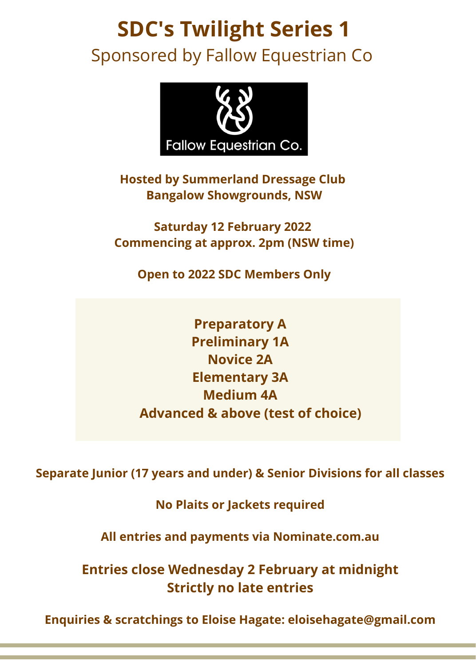# **SDC's Twilight Series 1** Sponsored by Fallow Equestrian Co



**Hosted by Summerland Dressage Club Bangalow Showgrounds, NSW**

**Saturday 12 February 2022 Commencing at approx. 2pm (NSW time)**

**Open to 2022 SDC Members Only**

**Preparatory A Preliminary 1A Novice 2A Elementary 3A Medium 4A Advanced & above (test of choice)**

**Separate Junior (17 years and under) & Senior Divisions for all classes**

**No Plaits or Jackets required**

**All entries and payments via Nominate.com.au**

**Entries close Wednesday 2 February at midnight Strictly no late entries**

**Enquiries & scratchings to Eloise Hagate: eloisehagate@gmail.com**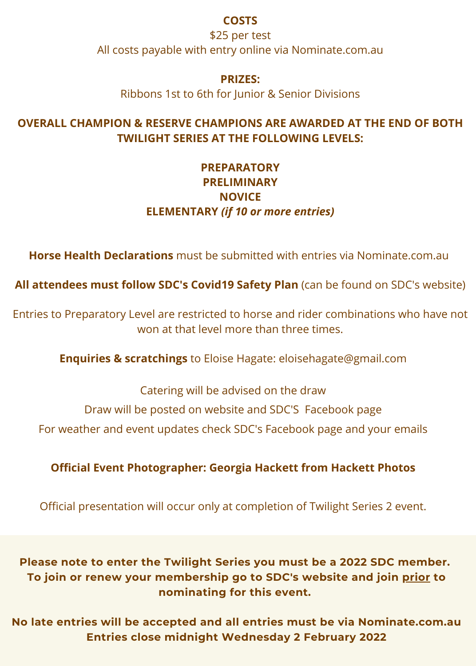#### **COSTS**

\$25 per test All costs payable with entry online via Nominate.com.au

#### **PRIZES:**

Ribbons 1st to 6th for Junior & Senior Divisions

### **OVERALL CHAMPION & RESERVE CHAMPIONS ARE AWARDED AT THE END OF BOTH TWILIGHT SERIES AT THE FOLLOWING LEVELS:**

# **PREPARATORY PRELIMINARY NOVICE ELEMENTARY** *(if 10 or more entries)*

**Horse Health Declarations** must be submitted with entries via Nominate.com.au

**All attendees must follow SDC's Covid19 Safety Plan** (can be found on SDC's website)

Entries to Preparatory Level are restricted to horse and rider combinations who have not won at that level more than three times.

**Enquiries & scratchings** to Eloise Hagate: eloisehagate@gmail.com

Catering will be advised on the draw

Draw will be posted on website and SDC'S Facebook page

For weather and event updates check SDC's Facebook page and your emails

## **Official Event Photographer: Georgia Hackett from Hackett Photos**

Official presentation will occur only at completion of Twilight Series 2 event.

**Please note to enter the Twilight Series you must be a 2022 SDC member. To join or renew your membership go to SDC's website and join prior to nominating for this event.**

**No late entries will be accepted and all entries must be via Nominate.com.au Entries close midnight Wednesday 2 February 2022**